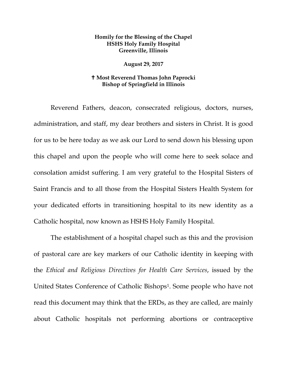## **Homily for the Blessing of the Chapel HSHS Holy Family Hospital Greenville, Illinois**

## **August 29, 2017**

## **Most Reverend Thomas John Paprocki Bishop of Springfield in Illinois**

Reverend Fathers, deacon, consecrated religious, doctors, nurses, administration, and staff, my dear brothers and sisters in Christ. It is good for us to be here today as we ask our Lord to send down his blessing upon this chapel and upon the people who will come here to seek solace and consolation amidst suffering. I am very grateful to the Hospital Sisters of Saint Francis and to all those from the Hospital Sisters Health System for your dedicated efforts in transitioning hospital to its new identity as a Catholic hospital, now known as HSHS Holy Family Hospital.

The establishment of a hospital chapel such as this and the provision of pastoral care are key markers of our Catholic identity in keeping with the *Ethical and Religious Directives for Health Care Services*, issued by the United States Conference of Catholic Bishops[1](#page-5-0). Some people who have not read this document may think that the ERDs, as they are called, are mainly about Catholic hospitals not performing abortions or contraceptive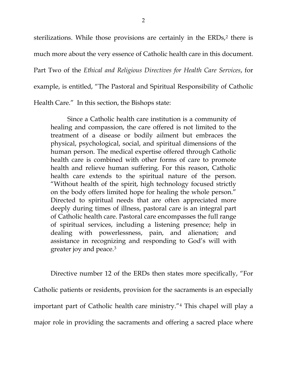sterilizations. While those provisions are certainly in the ERDs,<sup>[2](#page-5-1)</sup> there is much more about the very essence of Catholic health care in this document.

Part Two of the *Ethical and Religious Directives for Health Care Services*, for

example, is entitled, "The Pastoral and Spiritual Responsibility of Catholic

Health Care." In this section, the Bishops state:

Since a Catholic health care institution is a community of healing and compassion, the care offered is not limited to the treatment of a disease or bodily ailment but embraces the physical, psychological, social, and spiritual dimensions of the human person. The medical expertise offered through Catholic health care is combined with other forms of care to promote health and relieve human suffering. For this reason, Catholic health care extends to the spiritual nature of the person. "Without health of the spirit, high technology focused strictly on the body offers limited hope for healing the whole person." Directed to spiritual needs that are often appreciated more deeply during times of illness, pastoral care is an integral part of Catholic health care. Pastoral care encompasses the full range of spiritual services, including a listening presence; help in dealing with powerlessness, pain, and alienation; and assistance in recognizing and responding to God's will with greater joy and peace.[3](#page-5-2)

Directive number 12 of the ERDs then states more specifically, "For Catholic patients or residents, provision for the sacraments is an especially important part of Catholic health care ministry."[4](#page-5-3) This chapel will play a major role in providing the sacraments and offering a sacred place where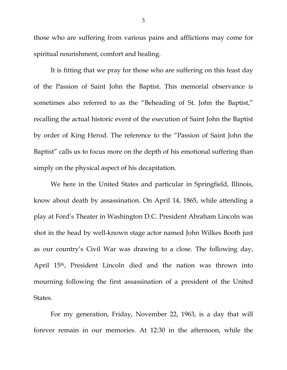those who are suffering from various pains and afflictions may come for spiritual nourishment, comfort and healing.

It is fitting that we pray for those who are suffering on this feast day of the Passion of Saint John the Baptist. This memorial observance is sometimes also referred to as the "Beheading of St. John the Baptist," recalling the actual historic event of the execution of Saint John the Baptist by order of King Herod. The reference to the "Passion of Saint John the Baptist" calls us to focus more on the depth of his emotional suffering than simply on the physical aspect of his decapitation.

We here in the United States and particular in Springfield, Illinois, know about death by assassination. On April 14, 1865, while attending a play at Ford's Theater in Washington D.C. President Abraham Lincoln was shot in the head by well-known stage actor named John Wilkes Booth just as our country's Civil War was drawing to a close. The following day, April 15th, President Lincoln died and the nation was thrown into mourning following the first assassination of a president of the United States.

For my generation, Friday, November 22, 1963, is a day that will forever remain in our memories. At 12:30 in the afternoon, while the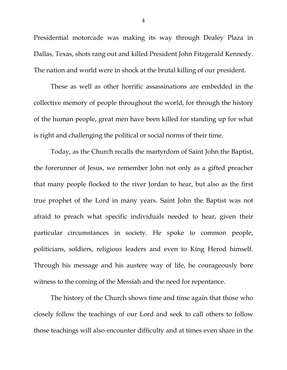Presidential motorcade was making its way through Dealey Plaza in Dallas, Texas, shots rang out and killed President John Fitzgerald Kennedy. The nation and world were in shock at the brutal killing of our president.

These as well as other horrific assassinations are embedded in the collective memory of people throughout the world, for through the history of the human people, great men have been killed for standing up for what is right and challenging the political or social norms of their time.

Today, as the Church recalls the martyrdom of Saint John the Baptist, the forerunner of Jesus, we remember John not only as a gifted preacher that many people flocked to the river Jordan to hear, but also as the first true prophet of the Lord in many years. Saint John the Baptist was not afraid to preach what specific individuals needed to hear, given their particular circumstances in society. He spoke to common people, politicians, soldiers, religious leaders and even to King Herod himself. Through his message and his austere way of life, he courageously bore witness to the coming of the Messiah and the need for repentance.

The history of the Church shows time and time again that those who closely follow the teachings of our Lord and seek to call others to follow those teachings will also encounter difficulty and at times even share in the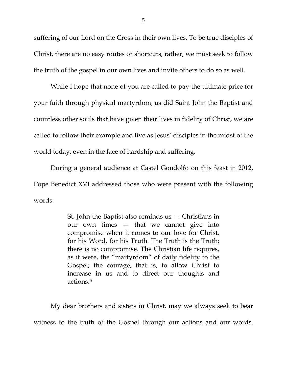suffering of our Lord on the Cross in their own lives. To be true disciples of Christ, there are no easy routes or shortcuts, rather, we must seek to follow the truth of the gospel in our own lives and invite others to do so as well.

While I hope that none of you are called to pay the ultimate price for your faith through physical martyrdom, as did Saint John the Baptist and countless other souls that have given their lives in fidelity of Christ, we are called to follow their example and live as Jesus' disciples in the midst of the world today, even in the face of hardship and suffering.

During a general audience at Castel Gondolfo on this feast in 2012, Pope Benedict XVI addressed those who were present with the following words:

> St. John the Baptist also reminds us — Christians in our own times — that we cannot give into compromise when it comes to our love for Christ, for his Word, for his Truth. The Truth is the Truth; there is no compromise. The Christian life requires, as it were, the "martyrdom" of daily fidelity to the Gospel; the courage, that is, to allow Christ to increase in us and to direct our thoughts and actions.[5](#page-5-4)

My dear brothers and sisters in Christ, may we always seek to bear witness to the truth of the Gospel through our actions and our words.